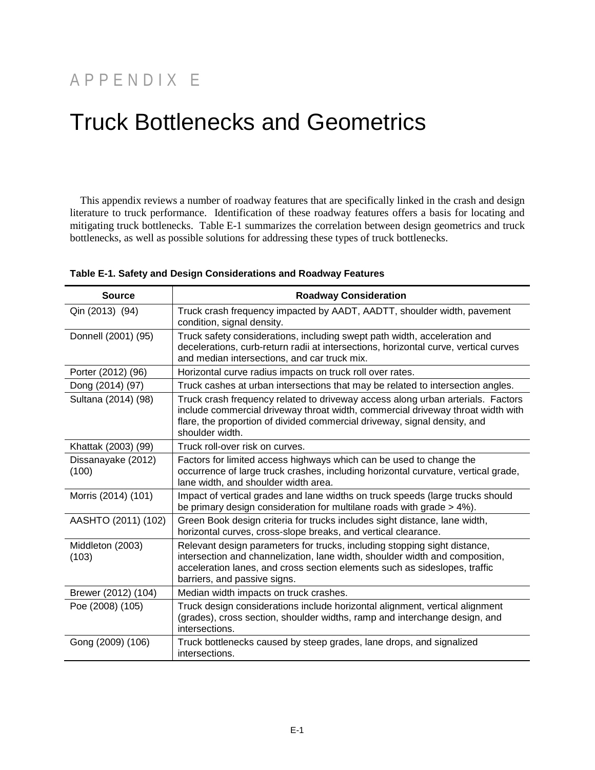## APPENDIX E

## Truck Bottlenecks and Geometrics

This appendix reviews a number of roadway features that are specifically linked in the crash and design literature to truck performance. Identification of these roadway features offers a basis for locating and mitigating truck bottlenecks. Table E-1 summarizes the correlation between design geometrics and truck bottlenecks, as well as possible solutions for addressing these types of truck bottlenecks.

| <b>Source</b>               | <b>Roadway Consideration</b>                                                                                                                                                                                                                                            |
|-----------------------------|-------------------------------------------------------------------------------------------------------------------------------------------------------------------------------------------------------------------------------------------------------------------------|
| Qin (2013) (94)             | Truck crash frequency impacted by AADT, AADTT, shoulder width, pavement<br>condition, signal density.                                                                                                                                                                   |
| Donnell (2001) (95)         | Truck safety considerations, including swept path width, acceleration and<br>decelerations, curb-return radii at intersections, horizontal curve, vertical curves<br>and median intersections, and car truck mix.                                                       |
| Porter (2012) (96)          | Horizontal curve radius impacts on truck roll over rates.                                                                                                                                                                                                               |
| Dong (2014) (97)            | Truck cashes at urban intersections that may be related to intersection angles.                                                                                                                                                                                         |
| Sultana (2014) (98)         | Truck crash frequency related to driveway access along urban arterials. Factors<br>include commercial driveway throat width, commercial driveway throat width with<br>flare, the proportion of divided commercial driveway, signal density, and<br>shoulder width.      |
| Khattak (2003) (99)         | Truck roll-over risk on curves.                                                                                                                                                                                                                                         |
| Dissanayake (2012)<br>(100) | Factors for limited access highways which can be used to change the<br>occurrence of large truck crashes, including horizontal curvature, vertical grade,<br>lane width, and shoulder width area.                                                                       |
| Morris (2014) (101)         | Impact of vertical grades and lane widths on truck speeds (large trucks should<br>be primary design consideration for multilane roads with grade > 4%).                                                                                                                 |
| AASHTO (2011) (102)         | Green Book design criteria for trucks includes sight distance, lane width,<br>horizontal curves, cross-slope breaks, and vertical clearance.                                                                                                                            |
| Middleton (2003)<br>(103)   | Relevant design parameters for trucks, including stopping sight distance,<br>intersection and channelization, lane width, shoulder width and composition,<br>acceleration lanes, and cross section elements such as sideslopes, traffic<br>barriers, and passive signs. |
| Brewer (2012) (104)         | Median width impacts on truck crashes.                                                                                                                                                                                                                                  |
| Poe (2008) (105)            | Truck design considerations include horizontal alignment, vertical alignment<br>(grades), cross section, shoulder widths, ramp and interchange design, and<br>intersections.                                                                                            |
| Gong (2009) (106)           | Truck bottlenecks caused by steep grades, lane drops, and signalized<br>intersections.                                                                                                                                                                                  |

**Table E-1. Safety and Design Considerations and Roadway Features**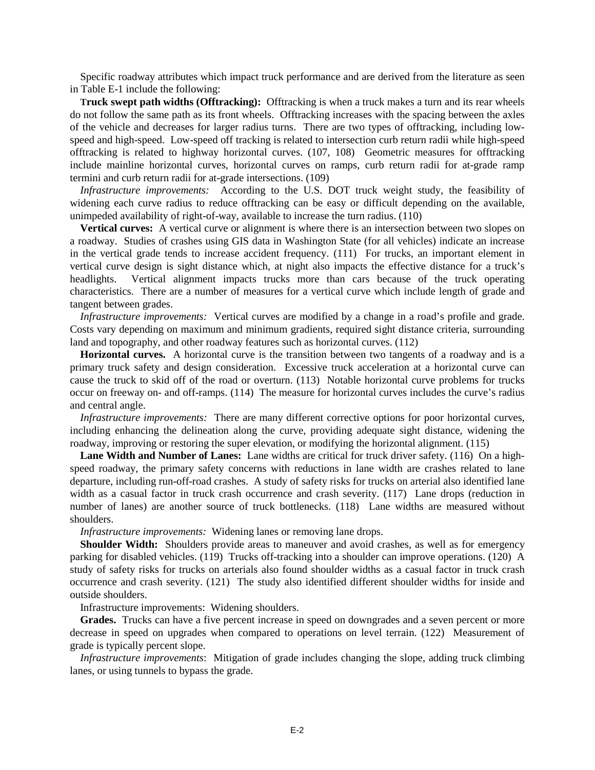Specific roadway attributes which impact truck performance and are derived from the literature as seen in Table E-1 include the following:

**Truck swept path widths (Offtracking):** Offtracking is when a truck makes a turn and its rear wheels do not follow the same path as its front wheels. Offtracking increases with the spacing between the axles of the vehicle and decreases for larger radius turns. There are two types of offtracking, including lowspeed and high-speed. Low-speed off tracking is related to intersection curb return radii while high-speed offtracking is related to highway horizontal curves. (107, 108) Geometric measures for offtracking include mainline horizontal curves, horizontal curves on ramps, curb return radii for at-grade ramp termini and curb return radii for at-grade intersections. (109)

*Infrastructure improvements:* According to the U.S. DOT truck weight study, the feasibility of widening each curve radius to reduce offtracking can be easy or difficult depending on the available, unimpeded availability of right-of-way, available to increase the turn radius. (110)

**Vertical curves:** A vertical curve or alignment is where there is an intersection between two slopes on a roadway. Studies of crashes using GIS data in Washington State (for all vehicles) indicate an increase in the vertical grade tends to increase accident frequency. (111) For trucks, an important element in vertical curve design is sight distance which, at night also impacts the effective distance for a truck's headlights. Vertical alignment impacts trucks more than cars because of the truck operating characteristics. There are a number of measures for a vertical curve which include length of grade and tangent between grades.

*Infrastructure improvements:* Vertical curves are modified by a change in a road's profile and grade. Costs vary depending on maximum and minimum gradients, required sight distance criteria, surrounding land and topography, and other roadway features such as horizontal curves. (112)

**Horizontal curves.** A horizontal curve is the transition between two tangents of a roadway and is a primary truck safety and design consideration. Excessive truck acceleration at a horizontal curve can cause the truck to skid off of the road or overturn. (113) Notable horizontal curve problems for trucks occur on freeway on- and off-ramps. (114) The measure for horizontal curves includes the curve's radius and central angle.

*Infrastructure improvements:* There are many different corrective options for poor horizontal curves, including enhancing the delineation along the curve, providing adequate sight distance, widening the roadway, improving or restoring the super elevation, or modifying the horizontal alignment. (115)

Lane Width and Number of Lanes: Lane widths are critical for truck driver safety. (116) On a highspeed roadway, the primary safety concerns with reductions in lane width are crashes related to lane departure, including run-off-road crashes. A study of safety risks for trucks on arterial also identified lane width as a casual factor in truck crash occurrence and crash severity. (117) Lane drops (reduction in number of lanes) are another source of truck bottlenecks. (118) Lane widths are measured without shoulders.

*Infrastructure improvements:* Widening lanes or removing lane drops.

**Shoulder Width:** Shoulders provide areas to maneuver and avoid crashes, as well as for emergency parking for disabled vehicles. (119) Trucks off-tracking into a shoulder can improve operations. (120) A study of safety risks for trucks on arterials also found shoulder widths as a casual factor in truck crash occurrence and crash severity. (121) The study also identified different shoulder widths for inside and outside shoulders.

Infrastructure improvements: Widening shoulders.

**Grades.** Trucks can have a five percent increase in speed on downgrades and a seven percent or more decrease in speed on upgrades when compared to operations on level terrain. (122) Measurement of grade is typically percent slope.

*Infrastructure improvements*: Mitigation of grade includes changing the slope, adding truck climbing lanes, or using tunnels to bypass the grade.